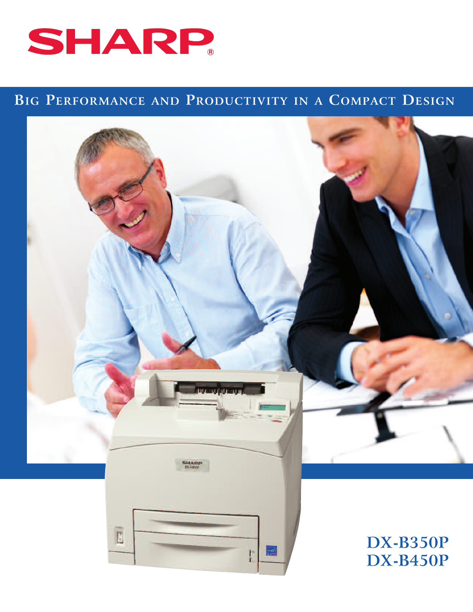

# **BIG PERFORMANCE AND PRODUCTIVITY IN A COMPACT DESIGN**

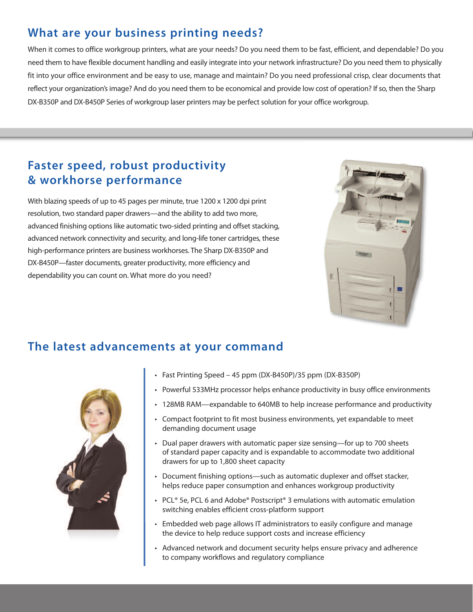# **What are your business printing needs?**

When it comes to office workgroup printers, what are your needs? Do you need them to be fast, efficient, and dependable? Do you need them to have flexible document handling and easily integrate into your network infrastructure? Do you need them to physically fit into your office environment and be easy to use, manage and maintain? Do you need professional crisp, clear documents that reflect your organization's image? And do you need them to be economical and provide low cost of operation? If so, then the Sharp DX-B350P and DX-B450P Series of workgroup laser printers may be perfect solution for your office workgroup.

## **Faster speed, robust productivity & workhorse performance**

With blazing speeds of up to 45 pages per minute, true 1200 x 1200 dpi print resolution, two standard paper drawers—and the ability to add two more, advanced finishing options like automatic two-sided printing and offset stacking, advanced network connectivity and security, and long-life toner cartridges, these high-performance printers are business workhorses. The Sharp DX-B350P and DX-B450P—faster documents, greater productivity, more efficiency and dependability you can count on. What more do you need?



#### **The latest advancements at your command**



- Fast Printing Speed 45 ppm (DX-B450P)/35 ppm (DX-B350P)
- Powerful 533MHz processor helps enhance productivity in busy office environments
- 128MB RAM—expandable to 640MB to help increase performance and productivity
- Compact footprint to fit most business environments, yet expandable to meet demanding document usage
- Dual paper drawers with automatic paper size sensing—for up to 700 sheets of standard paper capacity and is expandable to accommodate two additional drawers for up to 1,800 sheet capacity
- Document finishing options—such as automatic duplexer and offset stacker, helps reduce paper consumption and enhances workgroup productivity
- PCL® 5e, PCL 6 and Adobe® Postscript® 3 emulations with automatic emulation switching enables efficient cross-platform support
- Embedded web page allows IT administrators to easily configure and manage the device to help reduce support costs and increase efficiency
- Advanced network and document security helps ensure privacy and adherence to company workflows and regulatory compliance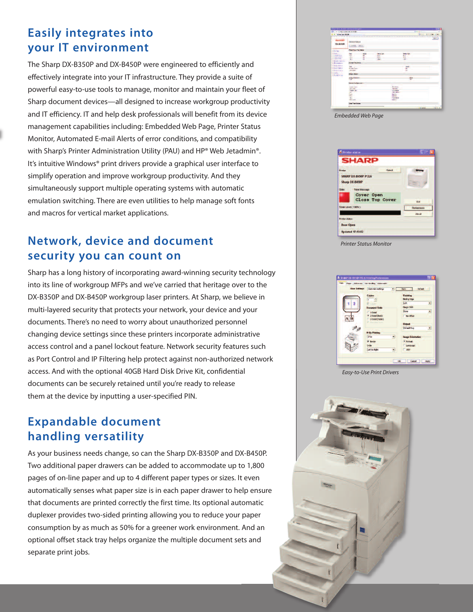### **Easily integrates into your IT environment**

The Sharp DX-B350P and DX-B450P were engineered to efficiently and effectively integrate into your IT infrastructure. They provide a suite of powerful easy-to-use tools to manage, monitor and maintain your fleet of Sharp document devices—all designed to increase workgroup productivity and IT efficiency. IT and help desk professionals will benefit from its device management capabilities including: Embedded Web Page, Printer Status Monitor, Automated E-mail Alerts of error conditions, and compatibility with Sharp's Printer Administration Utility (PAU) and HP® Web Jetadmin®. It's intuitive Windows® print drivers provide a graphical user interface to simplify operation and improve workgroup productivity. And they simultaneously support multiple operating systems with automatic emulation switching. There are even utilities to help manage soft fonts and macros for vertical market applications.

### **Network, device and document security you can count on**

Sharp has a long history of incorporating award-winning security technology into its line of workgroup MFPs and we've carried that heritage over to the DX-B350P and DX-B450P workgroup laser printers. At Sharp, we believe in multi-layered security that protects your network, your device and your documents. There's no need to worry about unauthorized personnel changing device settings since these printers incorporate administrative access control and a panel lockout feature. Network security features such as Port Control and IP Filtering help protect against non-authorized network access. And with the optional 40GB Hard Disk Drive Kit, confidential documents can be securely retained until you're ready to release them at the device by inputting a user-specified PIN.

## **Expandable document handling versatility**

As your business needs change, so can the Sharp DX-B350P and DX-B450P. Two additional paper drawers can be added to accommodate up to 1,800 pages of on-line paper and up to 4 different paper types or sizes. It even automatically senses what paper size is in each paper drawer to help ensure that documents are printed correctly the first time. Its optional automatic duplexer provides two-sided printing allowing you to reduce your paper consumption by as much as 50% for a greener work environment. And an optional offset stack tray helps organize the multiple document sets and separate print jobs.

| <b>Call in the man was not represent</b>                                                                                        |                                                                                   |                              |                                                          |                                                                                                                                   |                                                                 | <b>Richard Towns</b>              |                |
|---------------------------------------------------------------------------------------------------------------------------------|-----------------------------------------------------------------------------------|------------------------------|----------------------------------------------------------|-----------------------------------------------------------------------------------------------------------------------------------|-----------------------------------------------------------------|-----------------------------------|----------------|
| <b>KING A DICK</b>                                                                                                              |                                                                                   |                              |                                                          |                                                                                                                                   |                                                                 | <b>G. C. C. Birt Links Street</b> |                |
| <b>LA GUA</b><br><b>DX-BMEP</b>                                                                                                 | Device Ballys<br><b>Financial Fiberry</b>                                         | -<br>٠                       |                                                          |                                                                                                                                   |                                                                 |                                   | <b>SERVICE</b> |
| <b>William</b>                                                                                                                  | <b>Four Insurance Dates</b>                                                       |                              |                                                          |                                                                                                                                   |                                                                 |                                   |                |
| <b>Distances</b><br><b>Lightness Street</b><br>Children & Sales<br><b>Six New York</b><br>Desain-Salver<br><b>Life consider</b> | w<br>æ.<br>証<br><b>Direct Trajdress</b>                                           | <b>Sirius</b><br>۰<br>۰<br>а | <b>Hely Let</b><br><b>Lette</b><br><b>ATTO</b><br>Lines. |                                                                                                                                   | <b>Under Trees</b><br><b>Villa</b><br><b>STAR</b><br><b>Tal</b> |                                   |                |
| <b>Il Solar Selfron</b><br><b>Chapter Control</b><br><b>Life Pointer</b><br><b>Died Controller</b><br><b>CONTRACTOR</b>         | <b>MARKET</b><br><b>Rooter/Server</b><br><b>Children</b><br><b>Based Division</b> |                              |                                                          |                                                                                                                                   | <b>Sent</b><br>ia.                                              |                                   |                |
|                                                                                                                                 | <b><i><u>Rang Messalt</u></i></b><br>$-$<br>Device Carrier Library                |                              |                                                          |                                                                                                                                   | <b>AN</b><br>F                                                  |                                   |                |
|                                                                                                                                 | taska hom-<br>USER LABOUR.<br>man in<br><b>CONTRACTOR</b><br>Signe<br>Sec. 1      |                              |                                                          | - Williams<br><b>British C</b><br><b>SUPPORTER</b><br><b>RETURNS</b><br><b>Bank Allen</b><br><b>Service</b><br><b>THE PIPE EX</b> |                                                                 |                                   |                |
|                                                                                                                                 | <b>YES</b><br><b>Brand Cards</b><br><b>Com Flash Dates</b>                        |                              |                                                          | <b>Selection</b>                                                                                                                  |                                                                 |                                   |                |
|                                                                                                                                 |                                                                                   |                              |                                                          |                                                                                                                                   |                                                                 | <b>Littleman</b>                  | $m + n$        |

*Embedded Web Page*



*Printer Status Monitor*



*Easy-to-Use Print Drivers*